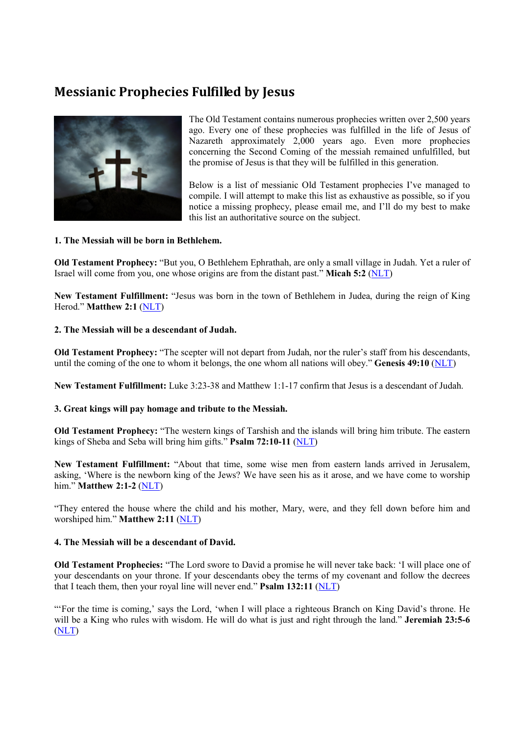# **Messianic Prophecies Fulfilled by Jesus**



The Old Testament contains numerous prophecies written over 2,500 years ago. Every one of these prophecies was fulfilled in the life of Jesus of Nazareth approximately 2,000 years ago. Even more prophecies concerning the Second Coming of the messiah remained unfulfilled, but the promise of Jesus is that they will be fulfilled in this generation.

Below is a list of messianic Old Testament prophecies I've managed to compile. I will attempt to make this list as exhaustive as possible, so if you notice a missing prophecy, please email me, and I'll do my best to make this list an authoritative source on the subject.

# **1. The Messiah will be born in Bethlehem.**

**Old Testament Prophecy:** "But you, O Bethlehem Ephrathah, are only a small village in Judah. Yet a ruler of Israel will come from you, one whose origins are from the distant past." **Micah 5:2** (NLT)

**New Testament Fulfillment:** "Jesus was born in the town of Bethlehem in Judea, during the reign of King Herod." **Matthew 2:1** (NLT)

# **2. The Messiah will be a descendant of Judah.**

**Old Testament Prophecy:** "The scepter will not depart from Judah, nor the ruler's staff from his descendants, until the coming of the one to whom it belongs, the one whom all nations will obey." **Genesis 49:10** (NLT)

**New Testament Fulfillment:** Luke 3:23-38 and Matthew 1:1-17 confirm that Jesus is a descendant of Judah.

# **3. Great kings will pay homage and tribute to the Messiah.**

**Old Testament Prophecy:** "The western kings of Tarshish and the islands will bring him tribute. The eastern kings of Sheba and Seba will bring him gifts." **Psalm 72:10-11** (NLT)

**New Testament Fulfillment:** "About that time, some wise men from eastern lands arrived in Jerusalem, asking, 'Where is the newborn king of the Jews? We have seen his as it arose, and we have come to worship him." **Matthew 2:1-2** (NLT)

"They entered the house where the child and his mother, Mary, were, and they fell down before him and worshiped him." **Matthew 2:11** (NLT)

# **4. The Messiah will be a descendant of David.**

**Old Testament Prophecies:** "The Lord swore to David a promise he will never take back: 'I will place one of your descendants on your throne. If your descendants obey the terms of my covenant and follow the decrees that I teach them, then your royal line will never end." **Psalm 132:11** (NLT)

"'For the time is coming,' says the Lord, 'when I will place a righteous Branch on King David's throne. He will be a King who rules with wisdom. He will do what is just and right through the land." **Jeremiah 23:5-6** (NLT)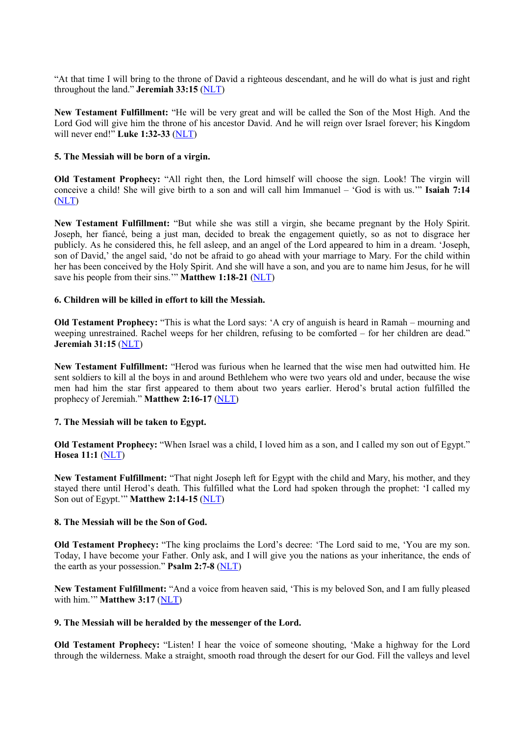"At that time I will bring to the throne of David a righteous descendant, and he will do what is just and right throughout the land." **Jeremiah 33:15** (NLT)

**New Testament Fulfillment:** "He will be very great and will be called the Son of the Most High. And the Lord God will give him the throne of his ancestor David. And he will reign over Israel forever; his Kingdom will never end!" **Luke 1:32-33** (NLT)

#### **5. The Messiah will be born of a virgin.**

**Old Testament Prophecy:** "All right then, the Lord himself will choose the sign. Look! The virgin will conceive a child! She will give birth to a son and will call him Immanuel – 'God is with us.'" **Isaiah 7:14** (NLT)

**New Testament Fulfillment:** "But while she was still a virgin, she became pregnant by the Holy Spirit. Joseph, her fiancé, being a just man, decided to break the engagement quietly, so as not to disgrace her publicly. As he considered this, he fell asleep, and an angel of the Lord appeared to him in a dream. 'Joseph, son of David,' the angel said, 'do not be afraid to go ahead with your marriage to Mary. For the child within her has been conceived by the Holy Spirit. And she will have a son, and you are to name him Jesus, for he will save his people from their sins.'" **Matthew 1:18-21** (NLT)

## **6. Children will be killed in effort to kill the Messiah.**

**Old Testament Prophecy:** "This is what the Lord says: 'A cry of anguish is heard in Ramah – mourning and weeping unrestrained. Rachel weeps for her children, refusing to be comforted – for her children are dead." **Jeremiah 31:15** (NLT)

**New Testament Fulfillment:** "Herod was furious when he learned that the wise men had outwitted him. He sent soldiers to kill al the boys in and around Bethlehem who were two years old and under, because the wise men had him the star first appeared to them about two years earlier. Herod's brutal action fulfilled the prophecy of Jeremiah." **Matthew 2:16-17** (NLT)

#### **7. The Messiah will be taken to Egypt.**

**Old Testament Prophecy:** "When Israel was a child, I loved him as a son, and I called my son out of Egypt." **Hosea 11:1** (NLT)

**New Testament Fulfillment:** "That night Joseph left for Egypt with the child and Mary, his mother, and they stayed there until Herod's death. This fulfilled what the Lord had spoken through the prophet: 'I called my Son out of Egypt.'" **Matthew 2:14-15** (NLT)

#### **8. The Messiah will be the Son of God.**

**Old Testament Prophecy:** "The king proclaims the Lord's decree: 'The Lord said to me, 'You are my son. Today, I have become your Father. Only ask, and I will give you the nations as your inheritance, the ends of the earth as your possession." **Psalm 2:7-8** (NLT)

**New Testament Fulfillment:** "And a voice from heaven said, 'This is my beloved Son, and I am fully pleased with him.'" **Matthew 3:17** (NLT)

#### **9. The Messiah will be heralded by the messenger of the Lord.**

**Old Testament Prophecy:** "Listen! I hear the voice of someone shouting, 'Make a highway for the Lord through the wilderness. Make a straight, smooth road through the desert for our God. Fill the valleys and level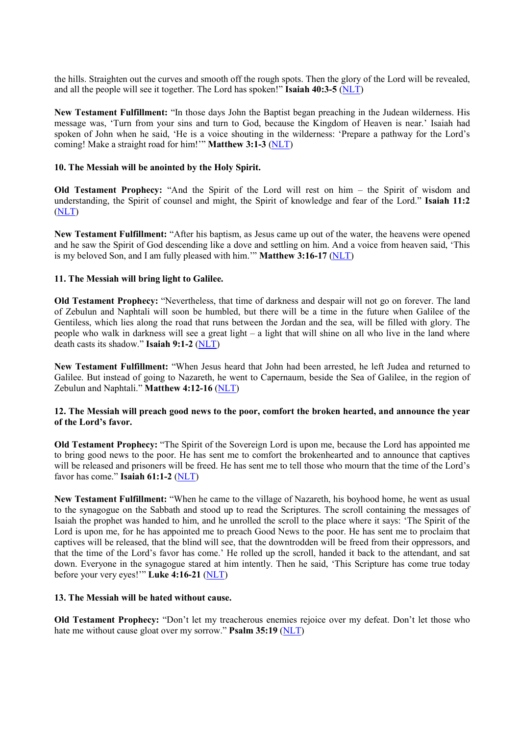the hills. Straighten out the curves and smooth off the rough spots. Then the glory of the Lord will be revealed, and all the people will see it together. The Lord has spoken!" **Isaiah 40:3-5** (NLT)

**New Testament Fulfillment:** "In those days John the Baptist began preaching in the Judean wilderness. His message was, 'Turn from your sins and turn to God, because the Kingdom of Heaven is near.' Isaiah had spoken of John when he said, 'He is a voice shouting in the wilderness: 'Prepare a pathway for the Lord's coming! Make a straight road for him!'" **Matthew 3:1-3** (NLT)

# **10. The Messiah will be anointed by the Holy Spirit.**

**Old Testament Prophecy:** "And the Spirit of the Lord will rest on him – the Spirit of wisdom and understanding, the Spirit of counsel and might, the Spirit of knowledge and fear of the Lord." **Isaiah 11:2** (NLT)

**New Testament Fulfillment:** "After his baptism, as Jesus came up out of the water, the heavens were opened and he saw the Spirit of God descending like a dove and settling on him. And a voice from heaven said, 'This is my beloved Son, and I am fully pleased with him.'" **Matthew 3:16-17** (NLT)

## **11. The Messiah will bring light to Galilee.**

**Old Testament Prophecy:** "Nevertheless, that time of darkness and despair will not go on forever. The land of Zebulun and Naphtali will soon be humbled, but there will be a time in the future when Galilee of the Gentiless, which lies along the road that runs between the Jordan and the sea, will be filled with glory. The people who walk in darkness will see a great light – a light that will shine on all who live in the land where death casts its shadow." **Isaiah 9:1-2** (NLT)

**New Testament Fulfillment:** "When Jesus heard that John had been arrested, he left Judea and returned to Galilee. But instead of going to Nazareth, he went to Capernaum, beside the Sea of Galilee, in the region of Zebulun and Naphtali." **Matthew 4:12-16** (NLT)

## **12. The Messiah will preach good news to the poor, comfort the broken hearted, and announce the year of the Lord's favor.**

**Old Testament Prophecy:** "The Spirit of the Sovereign Lord is upon me, because the Lord has appointed me to bring good news to the poor. He has sent me to comfort the brokenhearted and to announce that captives will be released and prisoners will be freed. He has sent me to tell those who mourn that the time of the Lord's favor has come." **Isaiah 61:1-2** (NLT)

**New Testament Fulfillment:** "When he came to the village of Nazareth, his boyhood home, he went as usual to the synagogue on the Sabbath and stood up to read the Scriptures. The scroll containing the messages of Isaiah the prophet was handed to him, and he unrolled the scroll to the place where it says: 'The Spirit of the Lord is upon me, for he has appointed me to preach Good News to the poor. He has sent me to proclaim that captives will be released, that the blind will see, that the downtrodden will be freed from their oppressors, and that the time of the Lord's favor has come.' He rolled up the scroll, handed it back to the attendant, and sat down. Everyone in the synagogue stared at him intently. Then he said, 'This Scripture has come true today before your very eyes!'" **Luke 4:16-21** (NLT)

# **13. The Messiah will be hated without cause.**

**Old Testament Prophecy:** "Don't let my treacherous enemies rejoice over my defeat. Don't let those who hate me without cause gloat over my sorrow." **Psalm 35:19** (NLT)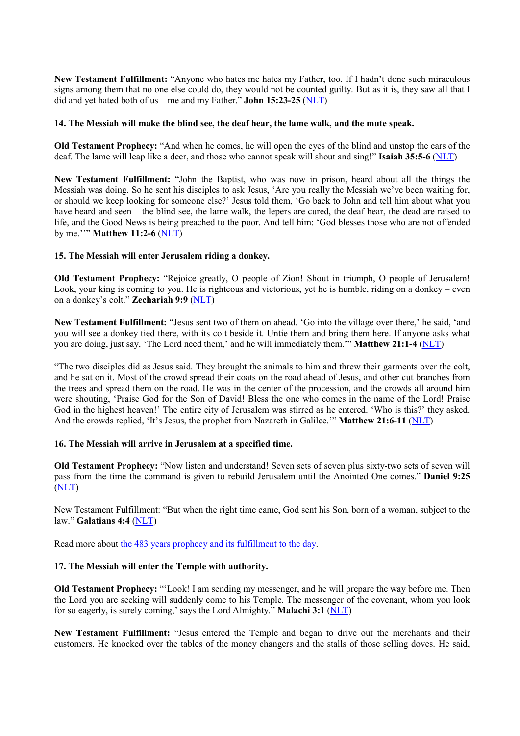**New Testament Fulfillment:** "Anyone who hates me hates my Father, too. If I hadn't done such miraculous signs among them that no one else could do, they would not be counted guilty. But as it is, they saw all that I did and yet hated both of us – me and my Father." **John 15:23-25** (NLT)

# **14. The Messiah will make the blind see, the deaf hear, the lame walk, and the mute speak.**

**Old Testament Prophecy:** "And when he comes, he will open the eyes of the blind and unstop the ears of the deaf. The lame will leap like a deer, and those who cannot speak will shout and sing!" **Isaiah 35:5-6** (NLT)

**New Testament Fulfillment:** "John the Baptist, who was now in prison, heard about all the things the Messiah was doing. So he sent his disciples to ask Jesus, 'Are you really the Messiah we've been waiting for, or should we keep looking for someone else?' Jesus told them, 'Go back to John and tell him about what you have heard and seen – the blind see, the lame walk, the lepers are cured, the deaf hear, the dead are raised to life, and the Good News is being preached to the poor. And tell him: 'God blesses those who are not offended by me.''" **Matthew 11:2-6** (NLT)

# **15. The Messiah will enter Jerusalem riding a donkey.**

**Old Testament Prophecy:** "Rejoice greatly, O people of Zion! Shout in triumph, O people of Jerusalem! Look, your king is coming to you. He is righteous and victorious, yet he is humble, riding on a donkey – even on a donkey's colt." **Zechariah 9:9** (NLT)

**New Testament Fulfillment:** "Jesus sent two of them on ahead. 'Go into the village over there,' he said, 'and you will see a donkey tied there, with its colt beside it. Untie them and bring them here. If anyone asks what you are doing, just say, 'The Lord need them,' and he will immediately them.'" **Matthew 21:1-4** (NLT)

"The two disciples did as Jesus said. They brought the animals to him and threw their garments over the colt, and he sat on it. Most of the crowd spread their coats on the road ahead of Jesus, and other cut branches from the trees and spread them on the road. He was in the center of the procession, and the crowds all around him were shouting, 'Praise God for the Son of David! Bless the one who comes in the name of the Lord! Praise God in the highest heaven!' The entire city of Jerusalem was stirred as he entered. 'Who is this?' they asked. And the crowds replied, 'It's Jesus, the prophet from Nazareth in Galilee.'" **Matthew 21:6-11** (NLT)

# **16. The Messiah will arrive in Jerusalem at a specified time.**

**Old Testament Prophecy:** "Now listen and understand! Seven sets of seven plus sixty-two sets of seven will pass from the time the command is given to rebuild Jerusalem until the Anointed One comes." **Daniel 9:25** (NLT)

New Testament Fulfillment: "But when the right time came, God sent his Son, born of a woman, subject to the law." **Galatians 4:4** (NLT)

Read more about the 483 years prophecy and its fulfillment to the day.

#### **17. The Messiah will enter the Temple with authority.**

**Old Testament Prophecy:** "'Look! I am sending my messenger, and he will prepare the way before me. Then the Lord you are seeking will suddenly come to his Temple. The messenger of the covenant, whom you look for so eagerly, is surely coming,' says the Lord Almighty." **Malachi 3:1** (NLT)

**New Testament Fulfillment:** "Jesus entered the Temple and began to drive out the merchants and their customers. He knocked over the tables of the money changers and the stalls of those selling doves. He said,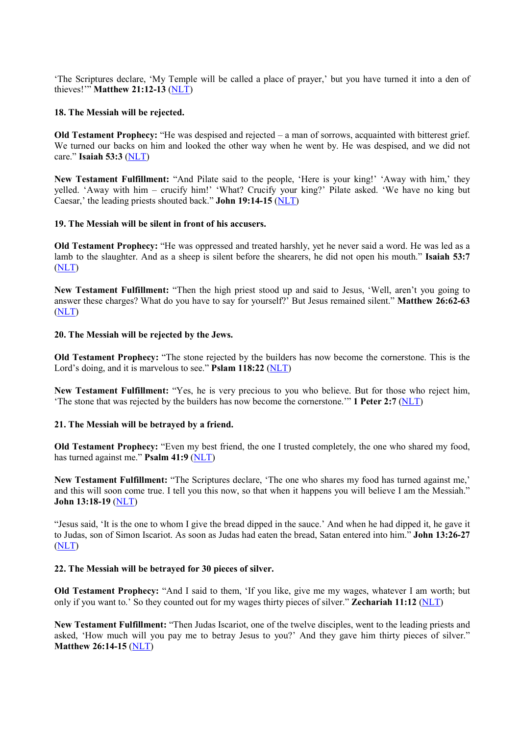'The Scriptures declare, 'My Temple will be called a place of prayer,' but you have turned it into a den of thieves!'" **Matthew 21:12-13** (NLT)

## **18. The Messiah will be rejected.**

**Old Testament Prophecy:** "He was despised and rejected – a man of sorrows, acquainted with bitterest grief. We turned our backs on him and looked the other way when he went by. He was despised, and we did not care." **Isaiah 53:3** (NLT)

**New Testament Fulfillment:** "And Pilate said to the people, 'Here is your king!' 'Away with him,' they yelled. 'Away with him – crucify him!' 'What? Crucify your king?' Pilate asked. 'We have no king but Caesar,' the leading priests shouted back." **John 19:14-15** (NLT)

## **19. The Messiah will be silent in front of his accusers.**

**Old Testament Prophecy:** "He was oppressed and treated harshly, yet he never said a word. He was led as a lamb to the slaughter. And as a sheep is silent before the shearers, he did not open his mouth." **Isaiah 53:7** (NLT)

**New Testament Fulfillment:** "Then the high priest stood up and said to Jesus, 'Well, aren't you going to answer these charges? What do you have to say for yourself?' But Jesus remained silent." **Matthew 26:62-63** (NLT)

## **20. The Messiah will be rejected by the Jews.**

**Old Testament Prophecy:** "The stone rejected by the builders has now become the cornerstone. This is the Lord's doing, and it is marvelous to see." **Pslam 118:22** (NLT)

**New Testament Fulfillment:** "Yes, he is very precious to you who believe. But for those who reject him, 'The stone that was rejected by the builders has now become the cornerstone.'" **1 Peter 2:7** (NLT)

# **21. The Messiah will be betrayed by a friend.**

**Old Testament Prophecy:** "Even my best friend, the one I trusted completely, the one who shared my food, has turned against me." **Psalm 41:9** (NLT)

**New Testament Fulfillment:** "The Scriptures declare, 'The one who shares my food has turned against me,' and this will soon come true. I tell you this now, so that when it happens you will believe I am the Messiah." **John 13:18-19** (NLT)

"Jesus said, 'It is the one to whom I give the bread dipped in the sauce.' And when he had dipped it, he gave it to Judas, son of Simon Iscariot. As soon as Judas had eaten the bread, Satan entered into him." **John 13:26-27** (NLT)

#### **22. The Messiah will be betrayed for 30 pieces of silver.**

**Old Testament Prophecy:** "And I said to them, 'If you like, give me my wages, whatever I am worth; but only if you want to.' So they counted out for my wages thirty pieces of silver." **Zechariah 11:12** (NLT)

**New Testament Fulfillment:** "Then Judas Iscariot, one of the twelve disciples, went to the leading priests and asked, 'How much will you pay me to betray Jesus to you?' And they gave him thirty pieces of silver." **Matthew 26:14-15** (NLT)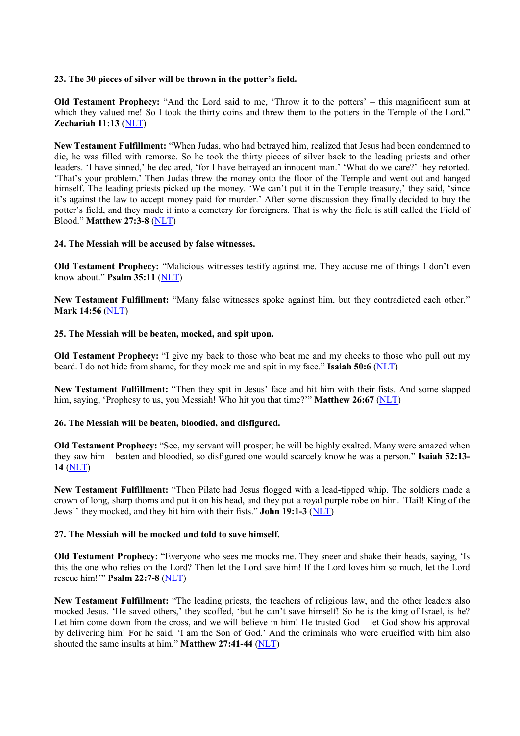## **23. The 30 pieces of silver will be thrown in the potter's field.**

**Old Testament Prophecy:** "And the Lord said to me, 'Throw it to the potters' – this magnificent sum at which they valued me! So I took the thirty coins and threw them to the potters in the Temple of the Lord." **Zechariah 11:13** (NLT)

**New Testament Fulfillment:** "When Judas, who had betrayed him, realized that Jesus had been condemned to die, he was filled with remorse. So he took the thirty pieces of silver back to the leading priests and other leaders. 'I have sinned,' he declared, 'for I have betrayed an innocent man.' 'What do we care?' they retorted. 'That's your problem.' Then Judas threw the money onto the floor of the Temple and went out and hanged himself. The leading priests picked up the money. 'We can't put it in the Temple treasury,' they said, 'since it's against the law to accept money paid for murder.' After some discussion they finally decided to buy the potter's field, and they made it into a cemetery for foreigners. That is why the field is still called the Field of Blood." **Matthew 27:3-8** (NLT)

## **24. The Messiah will be accused by false witnesses.**

**Old Testament Prophecy:** "Malicious witnesses testify against me. They accuse me of things I don't even know about." **Psalm 35:11** (NLT)

**New Testament Fulfillment:** "Many false witnesses spoke against him, but they contradicted each other." **Mark 14:56** (NLT)

## **25. The Messiah will be beaten, mocked, and spit upon.**

**Old Testament Prophecy:** "I give my back to those who beat me and my cheeks to those who pull out my beard. I do not hide from shame, for they mock me and spit in my face." **Isaiah 50:6** (NLT)

**New Testament Fulfillment:** "Then they spit in Jesus' face and hit him with their fists. And some slapped him, saying, 'Prophesy to us, you Messiah! Who hit you that time?'" **Matthew 26:67** (NLT)

#### **26. The Messiah will be beaten, bloodied, and disfigured.**

**Old Testament Prophecy:** "See, my servant will prosper; he will be highly exalted. Many were amazed when they saw him – beaten and bloodied, so disfigured one would scarcely know he was a person." **Isaiah 52:13- 14** (NLT)

**New Testament Fulfillment:** "Then Pilate had Jesus flogged with a lead-tipped whip. The soldiers made a crown of long, sharp thorns and put it on his head, and they put a royal purple robe on him. 'Hail! King of the Jews!' they mocked, and they hit him with their fists." **John 19:1-3** (NLT)

#### **27. The Messiah will be mocked and told to save himself.**

**Old Testament Prophecy:** "Everyone who sees me mocks me. They sneer and shake their heads, saying, 'Is this the one who relies on the Lord? Then let the Lord save him! If the Lord loves him so much, let the Lord rescue him!'" **Psalm 22:7-8** (NLT)

**New Testament Fulfillment:** "The leading priests, the teachers of religious law, and the other leaders also mocked Jesus. 'He saved others,' they scoffed, 'but he can't save himself! So he is the king of Israel, is he? Let him come down from the cross, and we will believe in him! He trusted God – let God show his approval by delivering him! For he said, 'I am the Son of God.' And the criminals who were crucified with him also shouted the same insults at him." **Matthew 27:41-44** (NLT)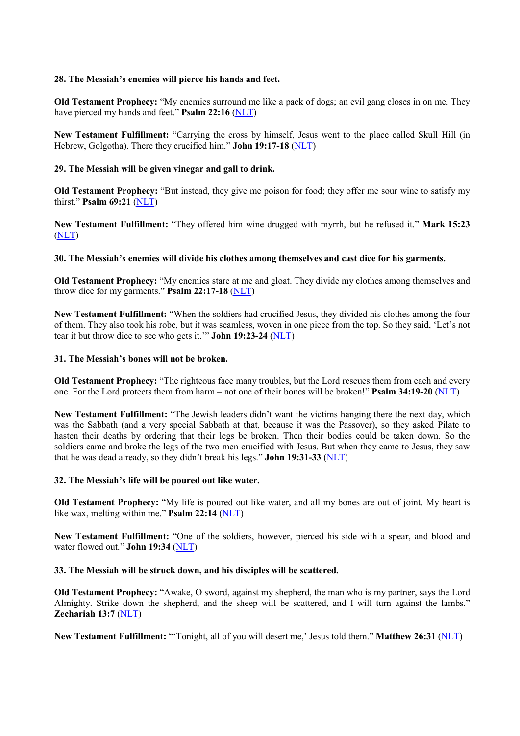# **28. The Messiah's enemies will pierce his hands and feet.**

**Old Testament Prophecy:** "My enemies surround me like a pack of dogs; an evil gang closes in on me. They have pierced my hands and feet." **Psalm 22:16** (NLT)

**New Testament Fulfillment:** "Carrying the cross by himself, Jesus went to the place called Skull Hill (in Hebrew, Golgotha). There they crucified him." **John 19:17-18** (NLT)

## **29. The Messiah will be given vinegar and gall to drink.**

**Old Testament Prophecy:** "But instead, they give me poison for food; they offer me sour wine to satisfy my thirst." **Psalm 69:21** (NLT)

**New Testament Fulfillment:** "They offered him wine drugged with myrrh, but he refused it." **Mark 15:23** (NLT)

## **30. The Messiah's enemies will divide his clothes among themselves and cast dice for his garments.**

**Old Testament Prophecy:** "My enemies stare at me and gloat. They divide my clothes among themselves and throw dice for my garments." **Psalm 22:17-18** (NLT)

**New Testament Fulfillment:** "When the soldiers had crucified Jesus, they divided his clothes among the four of them. They also took his robe, but it was seamless, woven in one piece from the top. So they said, 'Let's not tear it but throw dice to see who gets it.'" **John 19:23-24** (NLT)

# **31. The Messiah's bones will not be broken.**

**Old Testament Prophecy:** "The righteous face many troubles, but the Lord rescues them from each and every one. For the Lord protects them from harm – not one of their bones will be broken!" **Psalm 34:19-20** (NLT)

**New Testament Fulfillment:** "The Jewish leaders didn't want the victims hanging there the next day, which was the Sabbath (and a very special Sabbath at that, because it was the Passover), so they asked Pilate to hasten their deaths by ordering that their legs be broken. Then their bodies could be taken down. So the soldiers came and broke the legs of the two men crucified with Jesus. But when they came to Jesus, they saw that he was dead already, so they didn't break his legs." **John 19:31-33** (NLT)

#### **32. The Messiah's life will be poured out like water.**

**Old Testament Prophecy:** "My life is poured out like water, and all my bones are out of joint. My heart is like wax, melting within me." **Psalm 22:14** (NLT)

**New Testament Fulfillment:** "One of the soldiers, however, pierced his side with a spear, and blood and water flowed out." **John 19:34** (NLT)

# **33. The Messiah will be struck down, and his disciples will be scattered.**

**Old Testament Prophecy:** "Awake, O sword, against my shepherd, the man who is my partner, says the Lord Almighty. Strike down the shepherd, and the sheep will be scattered, and I will turn against the lambs." **Zechariah 13:7** (NLT)

**New Testament Fulfillment:** "'Tonight, all of you will desert me,' Jesus told them." **Matthew 26:31** (NLT)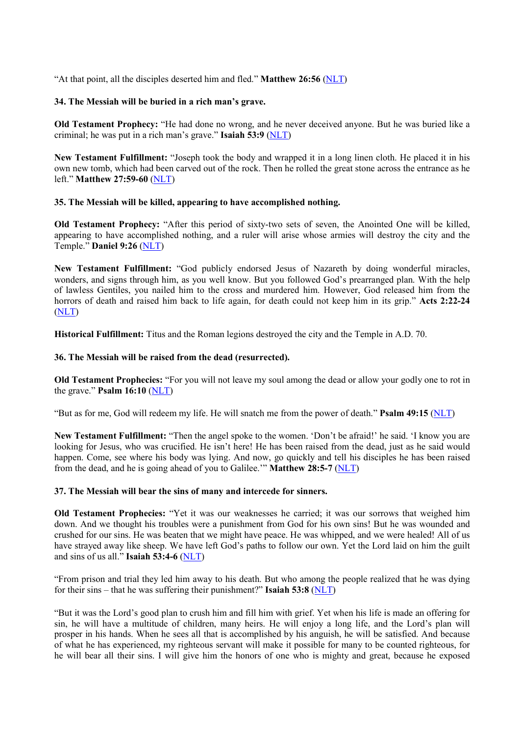"At that point, all the disciples deserted him and fled." **Matthew 26:56** (NLT)

# **34. The Messiah will be buried in a rich man's grave.**

**Old Testament Prophecy:** "He had done no wrong, and he never deceived anyone. But he was buried like a criminal; he was put in a rich man's grave." **Isaiah 53:9** (NLT)

**New Testament Fulfillment:** "Joseph took the body and wrapped it in a long linen cloth. He placed it in his own new tomb, which had been carved out of the rock. Then he rolled the great stone across the entrance as he left." **Matthew 27:59-60** (NLT)

# **35. The Messiah will be killed, appearing to have accomplished nothing.**

**Old Testament Prophecy:** "After this period of sixty-two sets of seven, the Anointed One will be killed, appearing to have accomplished nothing, and a ruler will arise whose armies will destroy the city and the Temple." **Daniel 9:26** (NLT)

**New Testament Fulfillment:** "God publicly endorsed Jesus of Nazareth by doing wonderful miracles, wonders, and signs through him, as you well know. But you followed God's prearranged plan. With the help of lawless Gentiles, you nailed him to the cross and murdered him. However, God released him from the horrors of death and raised him back to life again, for death could not keep him in its grip." **Acts 2:22-24** (NLT)

**Historical Fulfillment:** Titus and the Roman legions destroyed the city and the Temple in A.D. 70.

# **36. The Messiah will be raised from the dead (resurrected).**

**Old Testament Prophecies:** "For you will not leave my soul among the dead or allow your godly one to rot in the grave." **Psalm 16:10** (NLT)

"But as for me, God will redeem my life. He will snatch me from the power of death." **Psalm 49:15** (NLT)

**New Testament Fulfillment:** "Then the angel spoke to the women. 'Don't be afraid!' he said. 'I know you are looking for Jesus, who was crucified. He isn't here! He has been raised from the dead, just as he said would happen. Come, see where his body was lying. And now, go quickly and tell his disciples he has been raised from the dead, and he is going ahead of you to Galilee.'" **Matthew 28:5-7** (NLT)

# **37. The Messiah will bear the sins of many and intercede for sinners.**

**Old Testament Prophecies:** "Yet it was our weaknesses he carried; it was our sorrows that weighed him down. And we thought his troubles were a punishment from God for his own sins! But he was wounded and crushed for our sins. He was beaten that we might have peace. He was whipped, and we were healed! All of us have strayed away like sheep. We have left God's paths to follow our own. Yet the Lord laid on him the guilt and sins of us all." **Isaiah 53:4-6** (NLT)

"From prison and trial they led him away to his death. But who among the people realized that he was dying for their sins – that he was suffering their punishment?" **Isaiah 53:8** (NLT)

"But it was the Lord's good plan to crush him and fill him with grief. Yet when his life is made an offering for sin, he will have a multitude of children, many heirs. He will enjoy a long life, and the Lord's plan will prosper in his hands. When he sees all that is accomplished by his anguish, he will be satisfied. And because of what he has experienced, my righteous servant will make it possible for many to be counted righteous, for he will bear all their sins. I will give him the honors of one who is mighty and great, because he exposed